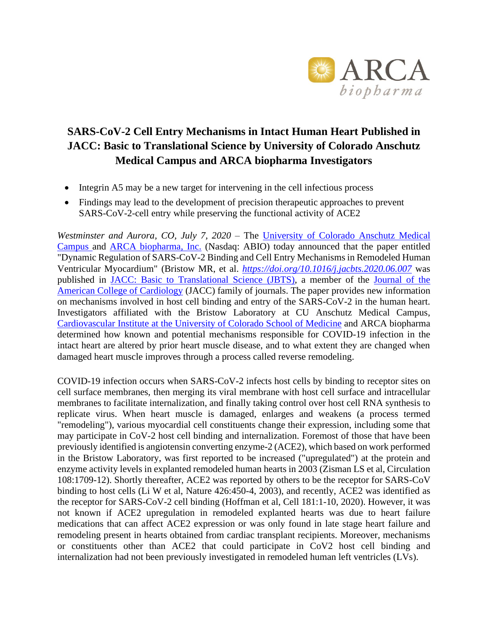

# **SARS-CoV-2 Cell Entry Mechanisms in Intact Human Heart Published in JACC: Basic to Translational Science by University of Colorado Anschutz Medical Campus and ARCA biopharma Investigators**

- Integrin A5 may be a new target for intervening in the cell infectious process
- Findings may lead to the development of precision therapeutic approaches to prevent SARS-CoV-2-cell entry while preserving the functional activity of ACE2

*Westminster and Aurora, CO, July 7, 2020* – The [University of Colorado Anschutz Medical](https://www.cuanschutz.edu/)  [Campus](https://www.cuanschutz.edu/) and [ARCA biopharma, Inc.](http://www.arcabio.com/) (Nasdaq: ABIO) today announced that the paper entitled "Dynamic Regulation of SARS-CoV-2 Binding and Cell Entry Mechanisms in Remodeled Human Ventricular Myocardium" (Bristow MR, et al. *<https://doi.org/10.1016/j.jacbts.2020.06.007>* was published in [JACC: Basic to Translational Science](https://basictranslational.onlinejacc.org/) (JBTS), a member of the [Journal of the](https://www.onlinejacc.org/)  [American College of Cardiology](https://www.onlinejacc.org/) (JACC) family of journals. The paper provides new information on mechanisms involved in host cell binding and entry of the SARS-CoV-2 in the human heart. Investigators affiliated with the Bristow Laboratory at CU Anschutz Medical Campus, Cardiovascular Institute [at the University of Colorado School of Medicine](http://www.ucdenver.edu/academics/colleges/medicalschool/institutes/CardiovascularInstitute/Pages/CardiovascularInstitute.aspx) and ARCA biopharma determined how known and potential mechanisms responsible for COVID-19 infection in the intact heart are altered by prior heart muscle disease, and to what extent they are changed when damaged heart muscle improves through a process called reverse remodeling.

COVID-19 infection occurs when SARS-CoV-2 infects host cells by binding to receptor sites on cell surface membranes, then merging its viral membrane with host cell surface and intracellular membranes to facilitate internalization, and finally taking control over host cell RNA synthesis to replicate virus. When heart muscle is damaged, enlarges and weakens (a process termed "remodeling"), various myocardial cell constituents change their expression, including some that may participate in CoV-2 host cell binding and internalization. Foremost of those that have been previously identified is angiotensin converting enzyme-2 (ACE2), which based on work performed in the Bristow Laboratory, was first reported to be increased ("upregulated") at the protein and enzyme activity levels in explanted remodeled human hearts in 2003 (Zisman LS et al, Circulation 108:1709-12). Shortly thereafter, ACE2 was reported by others to be the receptor for SARS-CoV binding to host cells (Li W et al, Nature 426:450-4, 2003), and recently, ACE2 was identified as the receptor for SARS-CoV-2 cell binding (Hoffman et al, Cell 181:1-10, 2020). However, it was not known if ACE2 upregulation in remodeled explanted hearts was due to heart failure medications that can affect ACE2 expression or was only found in late stage heart failure and remodeling present in hearts obtained from cardiac transplant recipients. Moreover, mechanisms or constituents other than ACE2 that could participate in CoV2 host cell binding and internalization had not been previously investigated in remodeled human left ventricles (LVs).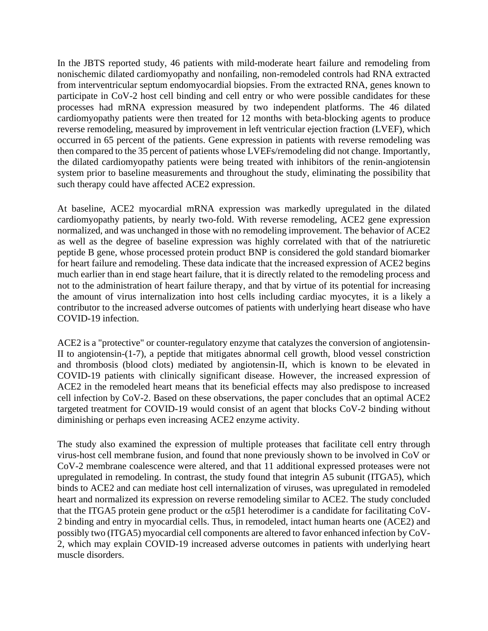In the JBTS reported study, 46 patients with mild-moderate heart failure and remodeling from nonischemic dilated cardiomyopathy and nonfailing, non-remodeled controls had RNA extracted from interventricular septum endomyocardial biopsies. From the extracted RNA, genes known to participate in CoV-2 host cell binding and cell entry or who were possible candidates for these processes had mRNA expression measured by two independent platforms. The 46 dilated cardiomyopathy patients were then treated for 12 months with beta-blocking agents to produce reverse remodeling, measured by improvement in left ventricular ejection fraction (LVEF), which occurred in 65 percent of the patients. Gene expression in patients with reverse remodeling was then compared to the 35 percent of patients whose LVEFs/remodeling did not change. Importantly, the dilated cardiomyopathy patients were being treated with inhibitors of the renin-angiotensin system prior to baseline measurements and throughout the study, eliminating the possibility that such therapy could have affected ACE2 expression.

At baseline, ACE2 myocardial mRNA expression was markedly upregulated in the dilated cardiomyopathy patients, by nearly two-fold. With reverse remodeling, ACE2 gene expression normalized, and was unchanged in those with no remodeling improvement. The behavior of ACE2 as well as the degree of baseline expression was highly correlated with that of the natriuretic peptide B gene, whose processed protein product BNP is considered the gold standard biomarker for heart failure and remodeling. These data indicate that the increased expression of ACE2 begins much earlier than in end stage heart failure, that it is directly related to the remodeling process and not to the administration of heart failure therapy, and that by virtue of its potential for increasing the amount of virus internalization into host cells including cardiac myocytes, it is a likely a contributor to the increased adverse outcomes of patients with underlying heart disease who have COVID-19 infection.

ACE2 is a "protective" or counter-regulatory enzyme that catalyzes the conversion of angiotensin-II to angiotensin-(1-7), a peptide that mitigates abnormal cell growth, blood vessel constriction and thrombosis (blood clots) mediated by angiotensin-II, which is known to be elevated in COVID-19 patients with clinically significant disease. However, the increased expression of ACE2 in the remodeled heart means that its beneficial effects may also predispose to increased cell infection by CoV-2. Based on these observations, the paper concludes that an optimal ACE2 targeted treatment for COVID-19 would consist of an agent that blocks CoV-2 binding without diminishing or perhaps even increasing ACE2 enzyme activity.

The study also examined the expression of multiple proteases that facilitate cell entry through virus-host cell membrane fusion, and found that none previously shown to be involved in CoV or CoV-2 membrane coalescence were altered, and that 11 additional expressed proteases were not upregulated in remodeling. In contrast, the study found that integrin A5 subunit (ITGA5), which binds to ACE2 and can mediate host cell internalization of viruses, was upregulated in remodeled heart and normalized its expression on reverse remodeling similar to ACE2. The study concluded that the ITGA5 protein gene product or the  $\alpha$ 5 $\beta$ 1 heterodimer is a candidate for facilitating CoV-2 binding and entry in myocardial cells. Thus, in remodeled, intact human hearts one (ACE2) and possibly two (ITGA5) myocardial cell components are altered to favor enhanced infection by CoV-2, which may explain COVID-19 increased adverse outcomes in patients with underlying heart muscle disorders.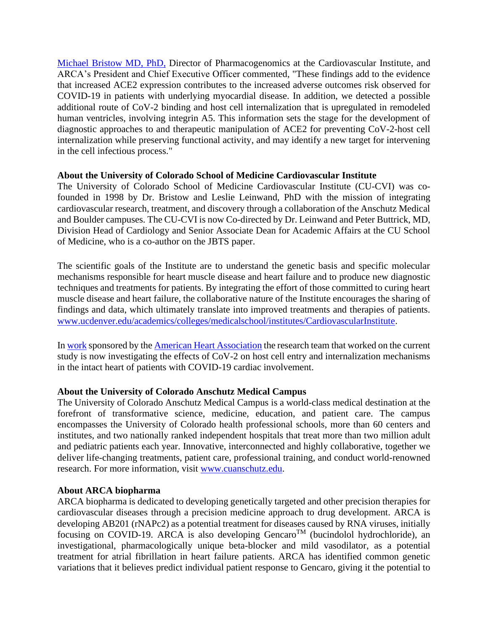[Michael Bristow MD,](http://arcabio.com/people/michael-bristow/) PhD, Director of Pharmacogenomics at the Cardiovascular Institute, and ARCA's President and Chief Executive Officer commented, "These findings add to the evidence that increased ACE2 expression contributes to the increased adverse outcomes risk observed for COVID-19 in patients with underlying myocardial disease. In addition, we detected a possible additional route of CoV-2 binding and host cell internalization that is upregulated in remodeled human ventricles, involving integrin A5. This information sets the stage for the development of diagnostic approaches to and therapeutic manipulation of ACE2 for preventing CoV-2-host cell internalization while preserving functional activity, and may identify a new target for intervening in the cell infectious process."

### **About the University of Colorado School of Medicine Cardiovascular Institute**

The University of Colorado School of Medicine Cardiovascular Institute (CU-CVI) was cofounded in 1998 by Dr. Bristow and Leslie Leinwand, PhD with the mission of integrating cardiovascular research, treatment, and discovery through a collaboration of the Anschutz Medical and Boulder campuses. The CU-CVI is now Co-directed by Dr. Leinwand and Peter Buttrick, MD, Division Head of Cardiology and Senior Associate Dean for Academic Affairs at the CU School of Medicine, who is a co-author on the JBTS paper.

The scientific goals of the Institute are to understand the genetic basis and specific molecular mechanisms responsible for heart muscle disease and heart failure and to produce new diagnostic techniques and treatments for patients. By integrating the effort of those committed to curing heart muscle disease and heart failure, the collaborative nature of the Institute encourages the sharing of findings and data, which ultimately translate into improved treatments and therapies of patients. [www.ucdenver.edu/academics/colleges/medicalschool/institutes/CardiovascularInstitute.](http://www.ucdenver.edu/academics/colleges/medicalschool/institutes/CardiovascularInstitute)

In [work](https://newsroom.heart.org/news/12-scientific-teams-redefining-fast-tracked-heart-and-brain-health-research-related-to-covid-19) sponsored by th[e American Heart Association](https://www.heart.org/) the research team that worked on the current study is now investigating the effects of CoV-2 on host cell entry and internalization mechanisms in the intact heart of patients with COVID-19 cardiac involvement.

## **About the University of Colorado Anschutz Medical Campus**

The University of Colorado Anschutz Medical Campus is a world-class medical destination at the forefront of transformative science, medicine, education, and patient care. The campus encompasses the University of Colorado health professional schools, more than 60 centers and institutes, and two nationally ranked independent hospitals that treat more than two million adult and pediatric patients each year. Innovative, interconnected and highly collaborative, together we deliver life-changing treatments, patient care, professional training, and conduct world-renowned research. For more information, visit [www.cuanschutz.edu.](https://www.cuanschutz.edu/)

#### **About ARCA biopharma**

ARCA biopharma is dedicated to developing genetically targeted and other precision therapies for cardiovascular diseases through a precision medicine approach to drug development. ARCA is developing AB201 (rNAPc2) as a potential treatment for diseases caused by RNA viruses, initially focusing on COVID-19. ARCA is also developing  $GencarO<sup>TM</sup>$  (bucindolol hydrochloride), an investigational, pharmacologically unique beta-blocker and mild vasodilator, as a potential treatment for atrial fibrillation in heart failure patients. ARCA has identified common genetic variations that it believes predict individual patient response to Gencaro, giving it the potential to